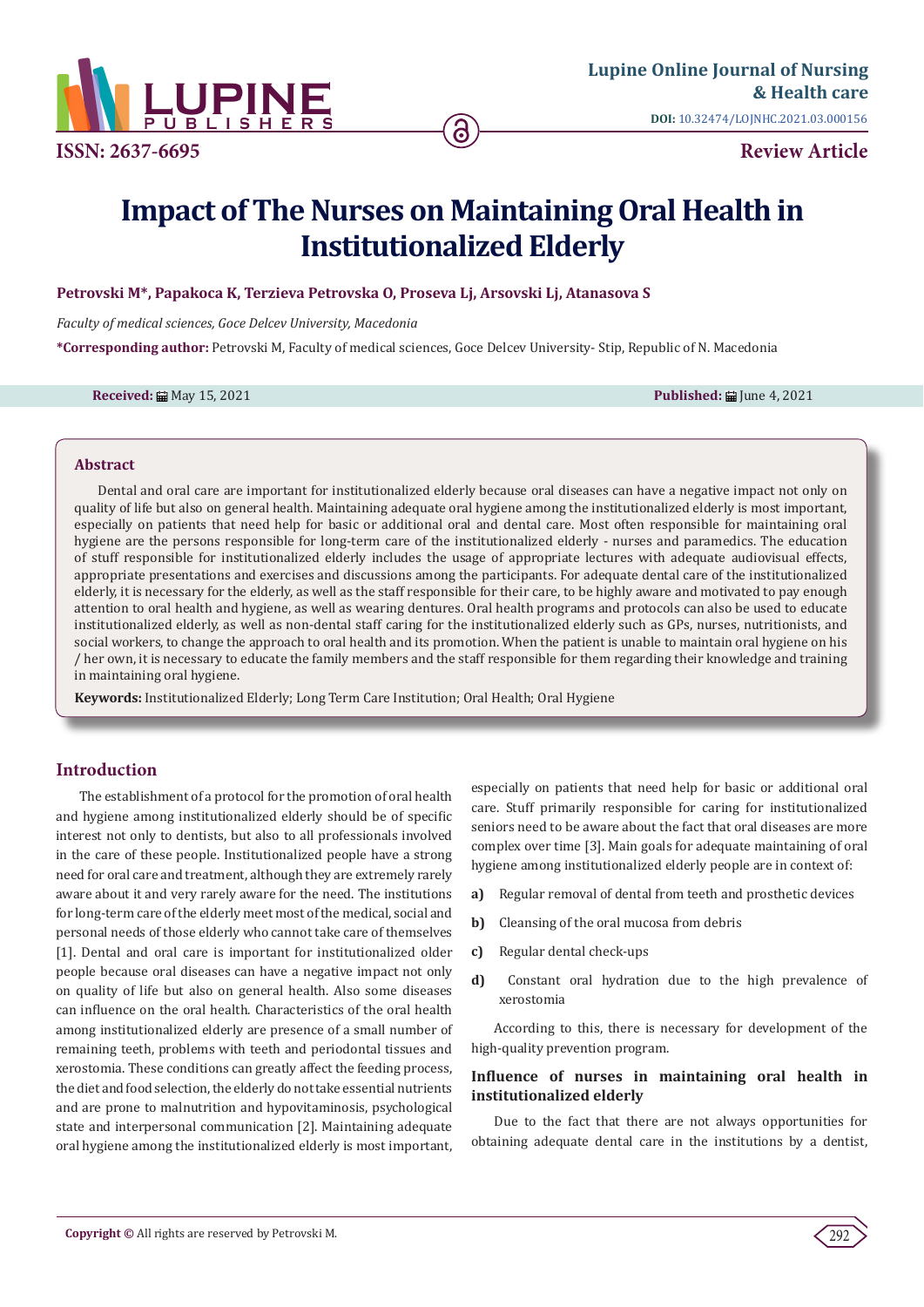

# **Impact of The Nurses on Maintaining Oral Health in Institutionalized Elderly**

## **Petrovski M\*, Papakoca K, Terzieva Petrovska O, Proseva Lj, Arsovski Lj, Atanasova S**

*Faculty of medical sciences, Goce Delcev University, Macedonia*

**\*Corresponding author:** Petrovski M, Faculty of medical sciences, Goce Delcev University- Stip, Republic of N. Macedonia

**Received:** ■ May 15, 2021 **Published:** ■ June 4, 2021

#### **Abstract**

Dental and oral care are important for institutionalized elderly because oral diseases can have a negative impact not only on quality of life but also on general health. Maintaining adequate oral hygiene among the institutionalized elderly is most important, especially on patients that need help for basic or additional oral and dental care. Most often responsible for maintaining oral hygiene are the persons responsible for long-term care of the institutionalized elderly - nurses and paramedics. The education of stuff responsible for institutionalized elderly includes the usage of appropriate lectures with adequate audiovisual effects, appropriate presentations and exercises and discussions among the participants. For adequate dental care of the institutionalized elderly, it is necessary for the elderly, as well as the staff responsible for their care, to be highly aware and motivated to pay enough attention to oral health and hygiene, as well as wearing dentures. Oral health programs and protocols can also be used to educate institutionalized elderly, as well as non-dental staff caring for the institutionalized elderly such as GPs, nurses, nutritionists, and social workers, to change the approach to oral health and its promotion. When the patient is unable to maintain oral hygiene on his / her own, it is necessary to educate the family members and the staff responsible for them regarding their knowledge and training in maintaining oral hygiene.

**Keywords:** Institutionalized Elderly; Long Term Care Institution; Oral Health; Oral Hygiene

## **Introduction**

The establishment of a protocol for the promotion of oral health and hygiene among institutionalized elderly should be of specific interest not only to dentists, but also to all professionals involved in the care of these people. Institutionalized people have a strong need for oral care and treatment, although they are extremely rarely aware about it and very rarely aware for the need. The institutions for long-term care of the elderly meet most of the medical, social and personal needs of those elderly who cannot take care of themselves [1]. Dental and oral care is important for institutionalized older people because oral diseases can have a negative impact not only on quality of life but also on general health. Also some diseases can influence on the oral health. Characteristics of the oral health among institutionalized elderly are presence of a small number of remaining teeth, problems with teeth and periodontal tissues and xerostomia. These conditions can greatly affect the feeding process, the diet and food selection, the elderly do not take essential nutrients and are prone to malnutrition and hypovitaminosis, psychological state and interpersonal communication [2]. Maintaining adequate oral hygiene among the institutionalized elderly is most important, especially on patients that need help for basic or additional oral care. Stuff primarily responsible for caring for institutionalized seniors need to be aware about the fact that oral diseases are more complex over time [3]. Main goals for adequate maintaining of oral hygiene among institutionalized elderly people are in context of:

- **a)** Regular removal of dental from teeth and prosthetic devices
- **b)** Cleansing of the oral mucosa from debris
- **c)** Regular dental check-ups
- **d)** Constant oral hydration due to the high prevalence of xerostomia

According to this, there is necessary for development of the high-quality prevention program.

# **Influence of nurses in maintaining oral health in institutionalized elderly**

Due to the fact that there are not always opportunities for obtaining adequate dental care in the institutions by a dentist,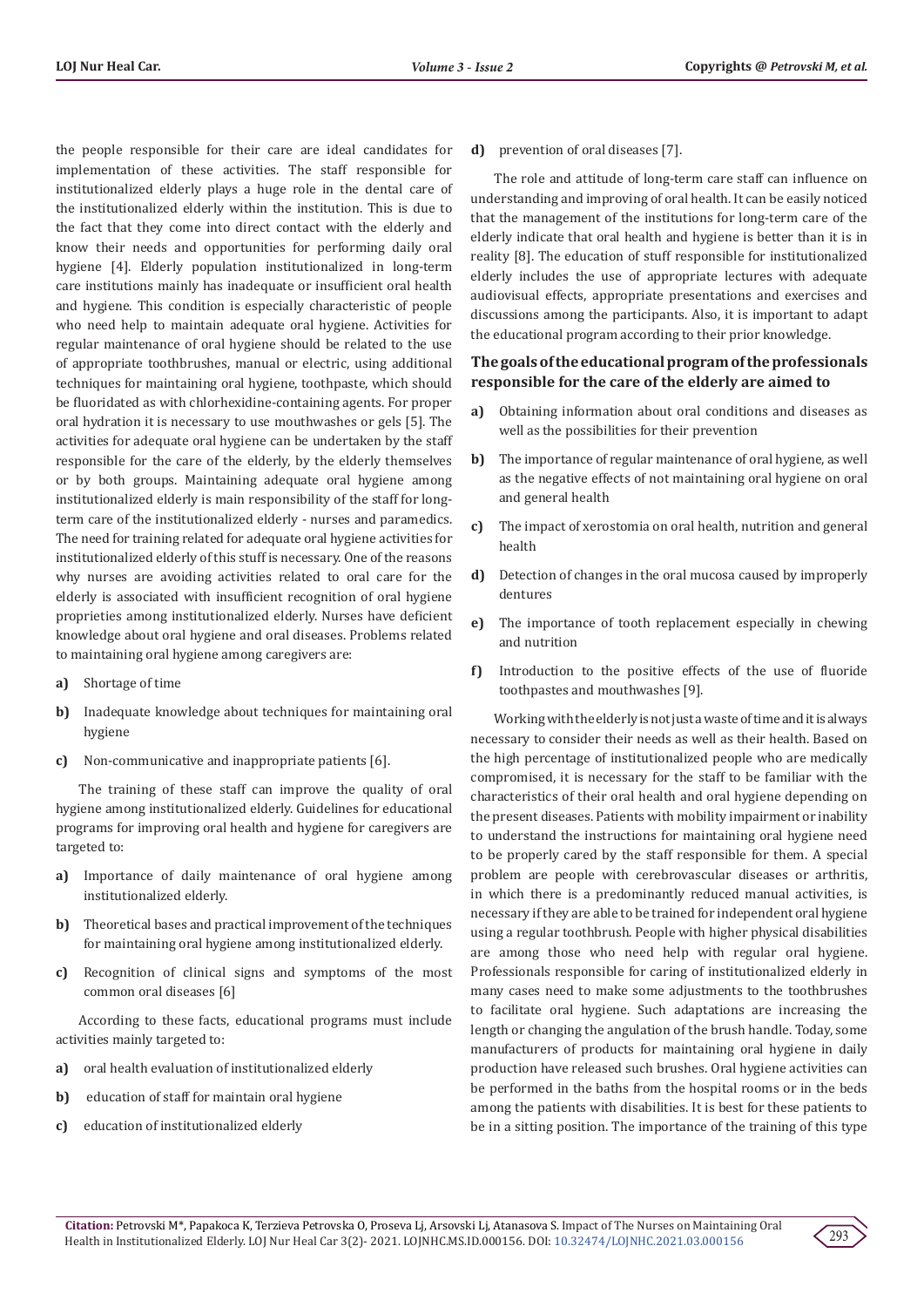the people responsible for their care are ideal candidates for implementation of these activities. The staff responsible for institutionalized elderly plays a huge role in the dental care of the institutionalized elderly within the institution. This is due to the fact that they come into direct contact with the elderly and know their needs and opportunities for performing daily oral hygiene [4]. Elderly population institutionalized in long-term care institutions mainly has inadequate or insufficient oral health and hygiene. This condition is especially characteristic of people who need help to maintain adequate oral hygiene. Activities for regular maintenance of oral hygiene should be related to the use of appropriate toothbrushes, manual or electric, using additional techniques for maintaining oral hygiene, toothpaste, which should be fluoridated as with chlorhexidine-containing agents. For proper oral hydration it is necessary to use mouthwashes or gels [5]. The activities for adequate oral hygiene can be undertaken by the staff responsible for the care of the elderly, by the elderly themselves or by both groups. Maintaining adequate oral hygiene among institutionalized elderly is main responsibility of the staff for longterm care of the institutionalized elderly - nurses and paramedics. The need for training related for adequate oral hygiene activities for institutionalized elderly of this stuff is necessary. One of the reasons why nurses are avoiding activities related to oral care for the elderly is associated with insufficient recognition of oral hygiene proprieties among institutionalized elderly. Nurses have deficient knowledge about oral hygiene and oral diseases. Problems related to maintaining oral hygiene among caregivers are:

- **a)** Shortage of time
- **b)** Inadequate knowledge about techniques for maintaining oral hygiene
- **c)** Non-communicative and inappropriate patients [6].

The training of these staff can improve the quality of oral hygiene among institutionalized elderly. Guidelines for educational programs for improving oral health and hygiene for caregivers are targeted to:

- **a)** Importance of daily maintenance of oral hygiene among institutionalized elderly.
- **b)** Theoretical bases and practical improvement of the techniques for maintaining oral hygiene among institutionalized elderly.
- **c)** Recognition of clinical signs and symptoms of the most common oral diseases [6]

According to these facts, educational programs must include activities mainly targeted to:

- **a)** oral health evaluation of institutionalized elderly
- **b)** education of staff for maintain oral hygiene
- **c)** education of institutionalized elderly

#### **d)** prevention of oral diseases [7].

The role and attitude of long-term care staff can influence on understanding and improving of oral health. It can be easily noticed that the management of the institutions for long-term care of the elderly indicate that oral health and hygiene is better than it is in reality [8]. The education of stuff responsible for institutionalized elderly includes the use of appropriate lectures with adequate audiovisual effects, appropriate presentations and exercises and discussions among the participants. Also, it is important to adapt the educational program according to their prior knowledge.

## **The goals of the educational program of the professionals responsible for the care of the elderly are aimed to**

- **a)** Obtaining information about oral conditions and diseases as well as the possibilities for their prevention
- **b)** The importance of regular maintenance of oral hygiene, as well as the negative effects of not maintaining oral hygiene on oral and general health
- **c)** The impact of xerostomia on oral health, nutrition and general health
- **d)** Detection of changes in the oral mucosa caused by improperly dentures
- **e)** The importance of tooth replacement especially in chewing and nutrition
- **f)** Introduction to the positive effects of the use of fluoride toothpastes and mouthwashes [9].

Working with the elderly is not just a waste of time and it is always necessary to consider their needs as well as their health. Based on the high percentage of institutionalized people who are medically compromised, it is necessary for the staff to be familiar with the characteristics of their oral health and oral hygiene depending on the present diseases. Patients with mobility impairment or inability to understand the instructions for maintaining oral hygiene need to be properly cared by the staff responsible for them. A special problem are people with cerebrovascular diseases or arthritis, in which there is a predominantly reduced manual activities, is necessary if they are able to be trained for independent oral hygiene using a regular toothbrush. People with higher physical disabilities are among those who need help with regular oral hygiene. Professionals responsible for caring of institutionalized elderly in many cases need to make some adjustments to the toothbrushes to facilitate oral hygiene. Such adaptations are increasing the length or changing the angulation of the brush handle. Today, some manufacturers of products for maintaining oral hygiene in daily production have released such brushes. Oral hygiene activities can be performed in the baths from the hospital rooms or in the beds among the patients with disabilities. It is best for these patients to be in a sitting position. The importance of the training of this type

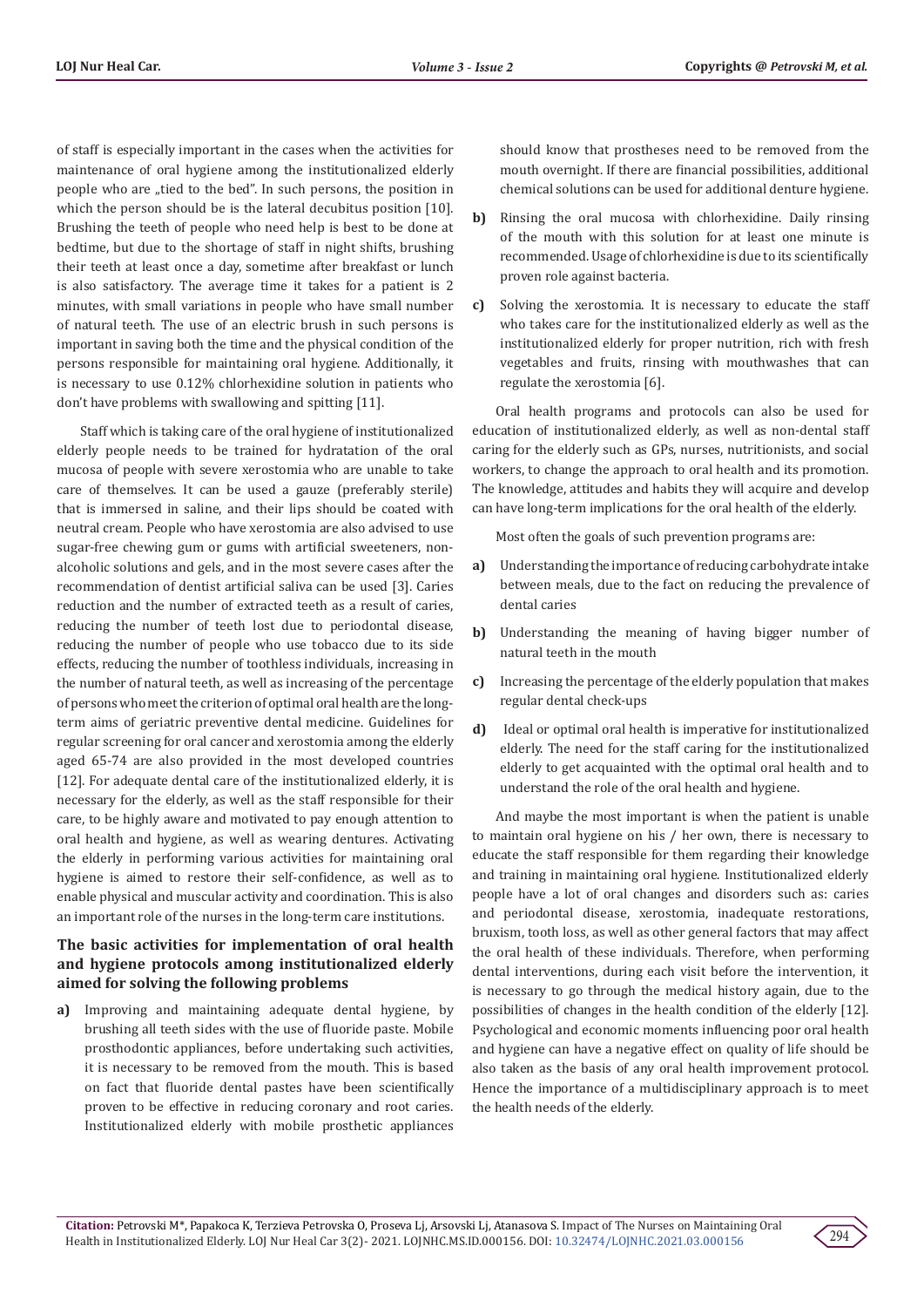of staff is especially important in the cases when the activities for maintenance of oral hygiene among the institutionalized elderly people who are "tied to the bed". In such persons, the position in which the person should be is the lateral decubitus position [10]. Brushing the teeth of people who need help is best to be done at bedtime, but due to the shortage of staff in night shifts, brushing their teeth at least once a day, sometime after breakfast or lunch is also satisfactory. The average time it takes for a patient is 2 minutes, with small variations in people who have small number of natural teeth. The use of an electric brush in such persons is important in saving both the time and the physical condition of the persons responsible for maintaining oral hygiene. Additionally, it is necessary to use 0.12% chlorhexidine solution in patients who don't have problems with swallowing and spitting [11].

Staff which is taking care of the oral hygiene of institutionalized elderly people needs to be trained for hydratation of the oral mucosa of people with severe xerostomia who are unable to take care of themselves. It can be used a gauze (preferably sterile) that is immersed in saline, and their lips should be coated with neutral cream. People who have xerostomia are also advised to use sugar-free chewing gum or gums with artificial sweeteners, nonalcoholic solutions and gels, and in the most severe cases after the recommendation of dentist artificial saliva can be used [3]. Caries reduction and the number of extracted teeth as a result of caries, reducing the number of teeth lost due to periodontal disease, reducing the number of people who use tobacco due to its side effects, reducing the number of toothless individuals, increasing in the number of natural teeth, as well as increasing of the percentage of persons who meet the criterion of optimal oral health are the longterm aims of geriatric preventive dental medicine. Guidelines for regular screening for oral cancer and xerostomia among the elderly aged 65-74 are also provided in the most developed countries [12]. For adequate dental care of the institutionalized elderly, it is necessary for the elderly, as well as the staff responsible for their care, to be highly aware and motivated to pay enough attention to oral health and hygiene, as well as wearing dentures. Activating the elderly in performing various activities for maintaining oral hygiene is aimed to restore their self-confidence, as well as to enable physical and muscular activity and coordination. This is also an important role of the nurses in the long-term care institutions.

## **The basic activities for implementation of oral health and hygiene protocols among institutionalized elderly aimed for solving the following problems**

**a)** Improving and maintaining adequate dental hygiene, by brushing all teeth sides with the use of fluoride paste. Mobile prosthodontic appliances, before undertaking such activities, it is necessary to be removed from the mouth. This is based on fact that fluoride dental pastes have been scientifically proven to be effective in reducing coronary and root caries. Institutionalized elderly with mobile prosthetic appliances

should know that prostheses need to be removed from the mouth overnight. If there are financial possibilities, additional chemical solutions can be used for additional denture hygiene.

- **b)** Rinsing the oral mucosa with chlorhexidine. Daily rinsing of the mouth with this solution for at least one minute is recommended. Usage of chlorhexidine is due to its scientifically proven role against bacteria.
- **c)** Solving the xerostomia. It is necessary to educate the staff who takes care for the institutionalized elderly as well as the institutionalized elderly for proper nutrition, rich with fresh vegetables and fruits, rinsing with mouthwashes that can regulate the xerostomia [6].

Oral health programs and protocols can also be used for education of institutionalized elderly, as well as non-dental staff caring for the elderly such as GPs, nurses, nutritionists, and social workers, to change the approach to oral health and its promotion. The knowledge, attitudes and habits they will acquire and develop can have long-term implications for the oral health of the elderly.

Most often the goals of such prevention programs are:

- **a)** Understanding the importance of reducing carbohydrate intake between meals, due to the fact on reducing the prevalence of dental caries
- **b)** Understanding the meaning of having bigger number of natural teeth in the mouth
- **c)** Increasing the percentage of the elderly population that makes regular dental check-ups
- **d)** Ideal or optimal oral health is imperative for institutionalized elderly. The need for the staff caring for the institutionalized elderly to get acquainted with the optimal oral health and to understand the role of the oral health and hygiene.

And maybe the most important is when the patient is unable to maintain oral hygiene on his / her own, there is necessary to educate the staff responsible for them regarding their knowledge and training in maintaining oral hygiene. Institutionalized elderly people have a lot of oral changes and disorders such as: caries and periodontal disease, xerostomia, inadequate restorations, bruxism, tooth loss, as well as other general factors that may affect the oral health of these individuals. Therefore, when performing dental interventions, during each visit before the intervention, it is necessary to go through the medical history again, due to the possibilities of changes in the health condition of the elderly [12]. Psychological and economic moments influencing poor oral health and hygiene can have a negative effect on quality of life should be also taken as the basis of any oral health improvement protocol. Hence the importance of a multidisciplinary approach is to meet the health needs of the elderly.